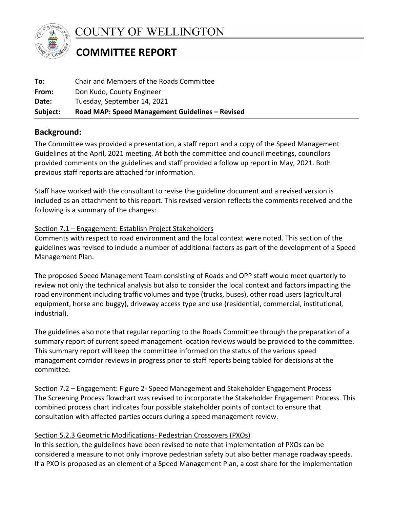

**COUNTY OF WELLINGTON** 

# **COMMITTEE REPORT**

| Subject: | Road MAP: Speed Management Guidelines - Revised |
|----------|-------------------------------------------------|
| Date:    | Tuesday, September 14, 2021                     |
| From:    | Don Kudo, County Engineer                       |
| To:      | Chair and Members of the Roads Committee        |

## **Background:**

The Committee was provided a presentation, a staff report and a copy of the Speed Management Guidelines at the April, 2021 meeting. At both the committee and council meetings, councilors provided comments on the guidelines and staff provided a follow up report in May, 2021. Both previous staff reports are attached for information.

Staff have worked with the consultant to revise the guideline document and a revised version is included as an attachment to this report. This revised version reflects the comments received and the following is a summary of the changes:

#### Section 7.1 – Engagement: Establish Project Stakeholders

Comments with respect to road environment and the local context were noted. This section of the guidelines was revised to include a number of additional factors as part of the development of a Speed Management Plan.

The proposed Speed Management Team consisting of Roads and OPP staff would meet quarterly to review not only the technical analysis but also to consider the local context and factors impacting the road environment including traffic volumes and type (trucks, buses), other road users (agricultural equipment, horse and buggy), driveway access type and use (residential, commercial, institutional, industrial).

The guidelines also note that regular reporting to the Roads Committee through the preparation of a summary report of current speed management location reviews would be provided to the committee. This summary report will keep the committee informed on the status of the various speed management corridor reviews in progress prior to staff reports being tabled for decisions at the committee.

Section 7.2 – Engagement: Figure 2- Speed Management and Stakeholder Engagement Process The Screening Process flowchart was revised to incorporate the Stakeholder Engagement Process. This combined process chart indicates four possible stakeholder points of contact to ensure that consultation with affected parties occurs during a speed management review.

### Section 5.2.3 Geometric Modifications- Pedestrian Crossovers (PXOs)

In this section, the guidelines have been revised to note that implementation of PXOs can be considered a measure to not only improve pedestrian safety but also better manage roadway speeds. If a PXO is proposed as an element of a Speed Management Plan, a cost share for the implementation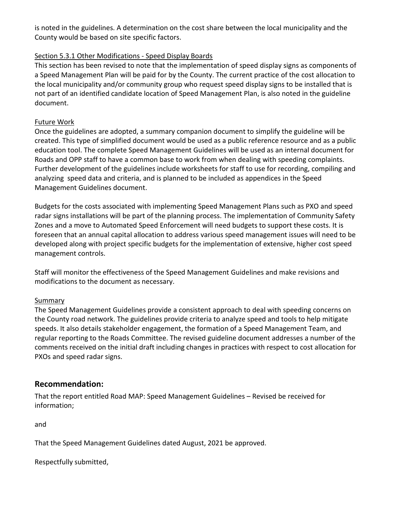is noted in the guidelines. A determination on the cost share between the local municipality and the County would be based on site specific factors.

#### Section 5.3.1 Other Modifications - Speed Display Boards

This section has been revised to note that the implementation of speed display signs as components of a Speed Management Plan will be paid for by the County. The current practice of the cost allocation to the local municipality and/or community group who request speed display signs to be installed that is not part of an identified candidate location of Speed Management Plan, is also noted in the guideline document.

#### Future Work

Once the guidelines are adopted, a summary companion document to simplify the guideline will be created. This type of simplified document would be used as a public reference resource and as a public education tool. The complete Speed Management Guidelines will be used as an internal document for Roads and OPP staff to have a common base to work from when dealing with speeding complaints. Further development of the guidelines include worksheets for staff to use for recording, compiling and analyzing speed data and criteria, and is planned to be included as appendices in the Speed Management Guidelines document.

Budgets for the costs associated with implementing Speed Management Plans such as PXO and speed radar signs installations will be part of the planning process. The implementation of Community Safety Zones and a move to Automated Speed Enforcement will need budgets to support these costs. It is foreseen that an annual capital allocation to address various speed management issues will need to be developed along with project specific budgets for the implementation of extensive, higher cost speed management controls.

Staff will monitor the effectiveness of the Speed Management Guidelines and make revisions and modifications to the document as necessary.

#### Summary

The Speed Management Guidelines provide a consistent approach to deal with speeding concerns on the County road network. The guidelines provide criteria to analyze speed and tools to help mitigate speeds. It also details stakeholder engagement, the formation of a Speed Management Team, and regular reporting to the Roads Committee. The revised guideline document addresses a number of the comments received on the initial draft including changes in practices with respect to cost allocation for PXOs and speed radar signs.

#### **Recommendation:**

That the report entitled Road MAP: Speed Management Guidelines – Revised be received for information;

and

That the Speed Management Guidelines dated August, 2021 be approved.

Respectfully submitted,